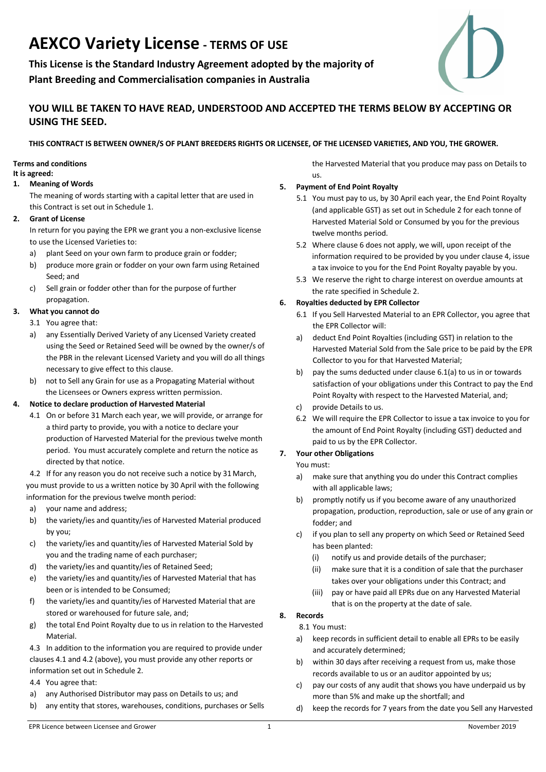# **AEXCO Variety License - TERMS OF USE**

**This License is the Standard Industry Agreement adopted by the majority of Plant Breeding and Commercialisation companies in Australia**



# **YOU WILL BE TAKEN TO HAVE READ, UNDERSTOOD AND ACCEPTED THE TERMS BELOW BY ACCEPTING OR USING THE SEED.**

# **THIS CONTRACT IS BETWEEN OWNER/S OF PLANT BREEDERS RIGHTS OR LICENSEE, OF THE LICENSED VARIETIES, AND YOU, THE GROWER.**

# **Terms and conditions**

#### **It is agreed:**

### **1. Meaning of Words**

The meaning of words starting with a capital letter that are used in this Contract is set out in Schedule 1.

#### **2. Grant of License**

In return for you paying the EPR we grant you a non-exclusive license to use the Licensed Varieties to:

- a) plant Seed on your own farm to produce grain or fodder;
- b) produce more grain or fodder on your own farm using Retained Seed; and
- c) Sell grain or fodder other than for the purpose of further propagation.

#### **3. What you cannot do**

- 3.1 You agree that:
- a) any Essentially Derived Variety of any Licensed Variety created using the Seed or Retained Seed will be owned by the owner/s of the PBR in the relevant Licensed Variety and you will do all things necessary to give effect to this clause.
- b) not to Sell any Grain for use as a Propagating Material without the Licensees or Owners express written permission.

#### **4. Notice to declare production of Harvested Material**

4.1 On or before 31 March each year, we will provide, or arrange for a third party to provide, you with a notice to declare your production of Harvested Material for the previous twelve month period. You must accurately complete and return the notice as directed by that notice.

 4.2 If for any reason you do not receive such a notice by 31March, you must provide to us a written notice by 30 April with the following information for the previous twelve month period:

- a) your name and address;
- b) the variety/ies and quantity/ies of Harvested Material produced by you;
- c) the variety/ies and quantity/ies of Harvested Material Sold by you and the trading name of each purchaser;
- d) the variety/ies and quantity/ies of Retained Seed;
- e) the variety/ies and quantity/ies of Harvested Material that has been or is intended to be Consumed;
- f) the variety/ies and quantity/ies of Harvested Material that are stored or warehoused for future sale, and;
- g) the total End Point Royalty due to us in relation to the Harvested **Material**

4.3 In addition to the information you are required to provide under clauses 4.1 and 4.2 (above), you must provide any other reports or information set out in Schedule 2.

4.4 You agree that:

- a) any Authorised Distributor may pass on Details to us; and
- b) any entity that stores, warehouses, conditions, purchases or Sells

the Harvested Material that you produce may pass on Details to us.

#### **5. Payment of End Point Royalty**

- 5.1 You must pay to us, by 30 April each year, the End Point Royalty (and applicable GST) as set out in Schedule 2 for each tonne of Harvested Material Sold or Consumed by you for the previous twelve months period.
- 5.2 Where clause 6 does not apply, we will, upon receipt of the information required to be provided by you under clause 4, issue a tax invoice to you for the End Point Royalty payable by you.
- 5.3 We reserve the right to charge interest on overdue amounts at the rate specified in Schedule 2.

# **6. Royalties deducted by EPR Collector**

- 6.1 If you Sell Harvested Material to an EPR Collector, you agree that the EPR Collector will:
- a) deduct End Point Royalties (including GST) in relation to the Harvested Material Sold from the Sale price to be paid by the EPR Collector to you for that Harvested Material;
- b) pay the sums deducted under clause 6.1(a) to us in or towards satisfaction of your obligations under this Contract to pay the End Point Royalty with respect to the Harvested Material, and;
- c) provide Details to us.
- 6.2 We will require the EPR Collector to issue a tax invoice to you for the amount of End Point Royalty (including GST) deducted and paid to us by the EPR Collector.

#### **7. Your other Obligations**

# You must:

- a) make sure that anything you do under this Contract complies with all applicable laws;
- b) promptly notify us if you become aware of any unauthorized propagation, production, reproduction, sale or use of any grain or fodder; and
- c) if you plan to sell any property on which Seed or Retained Seed has been planted:
	- (i) notify us and provide details of the purchaser;
	- (ii) make sure that it is a condition of sale that the purchaser takes over your obligations under this Contract; and
	- (iii) pay or have paid all EPRs due on any Harvested Material that is on the property at the date of sale.

# **8. Records**

#### 8.1 You must:

- a) keep records in sufficient detail to enable all EPRs to be easily and accurately determined;
- b) within 30 days after receiving a request from us, make those records available to us or an auditor appointed by us;
- c) pay our costs of any audit that shows you have underpaid us by more than 5% and make up the shortfall; and
- d) keep the records for 7 years from the date you Sell any Harvested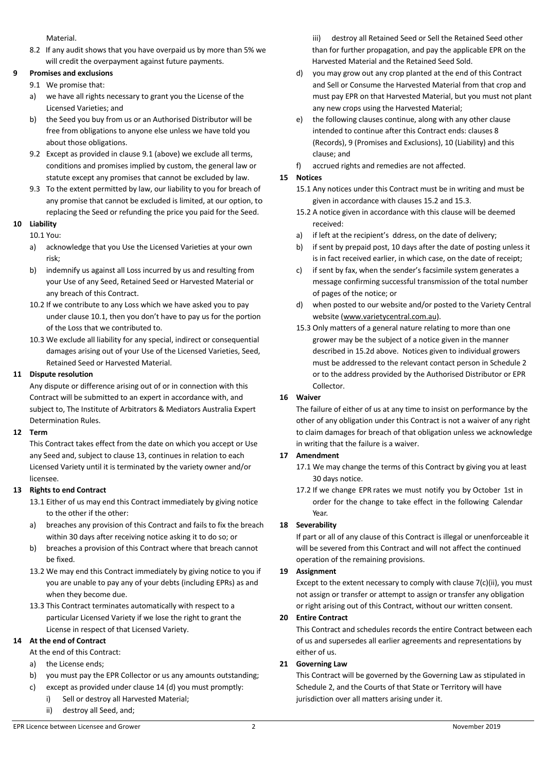Material.

8.2 If any audit shows that you have overpaid us by more than 5% we will credit the overpayment against future payments.

# **9 Promises and exclusions**

- 9.1 We promise that:
	- a) we have all rights necessary to grant you the License of the Licensed Varieties; and
	- b) the Seed you buy from us or an Authorised Distributor will be free from obligations to anyone else unless we have told you about those obligations.
	- 9.2 Except as provided in clause 9.1 (above) we exclude all terms, conditions and promises implied by custom, the general law or statute except any promises that cannot be excluded by law.
	- 9.3 To the extent permitted by law, our liability to you for breach of any promise that cannot be excluded is limited, at our option, to replacing the Seed or refunding the price you paid for the Seed.

#### **10 Liability**

# 10.1 You:

- a) acknowledge that you Use the Licensed Varieties at your own risk;
- b) indemnify us against all Loss incurred by us and resulting from your Use of any Seed, Retained Seed or Harvested Material or any breach of this Contract.
- 10.2 If we contribute to any Loss which we have asked you to pay under clause 10.1, then you don't have to pay us for the portion of the Loss that we contributed to.
- 10.3 We exclude all liability for any special, indirect or consequential damages arising out of your Use of the Licensed Varieties, Seed, Retained Seed or Harvested Material.

#### **11 Dispute resolution**

Any dispute or difference arising out of or in connection with this Contract will be submitted to an expert in accordance with, and subject to, The Institute of Arbitrators & Mediators Australia Expert Determination Rules.

#### **12 Term**

This Contract takes effect from the date on which you accept or Use any Seed and, subject to clause 13, continues in relation to each Licensed Variety until it is terminated by the variety owner and/or licensee.

#### **13 Rights to end Contract**

- 13.1 Either of us may end this Contract immediately by giving notice to the other if the other:
- a) breaches any provision of this Contract and fails to fix the breach within 30 days after receiving notice asking it to do so; or
- b) breaches a provision of this Contract where that breach cannot be fixed.
- 13.2 We may end this Contract immediately by giving notice to you if you are unable to pay any of your debts (including EPRs) as and when they become due.
- 13.3 This Contract terminates automatically with respect to a particular Licensed Variety if we lose the right to grant the License in respect of that Licensed Variety.

#### **14 At the end of Contract**

At the end of this Contract:

- a) the License ends;
- b) you must pay the EPR Collector or us any amounts outstanding;
- c) except as provided under clause 14 (d) you must promptly:
	- i) Sell or destroy all Harvested Material;
	- ii) destroy all Seed, and;

iii) destroy all Retained Seed or Sell the Retained Seed other than for further propagation, and pay the applicable EPR on the Harvested Material and the Retained Seed Sold.

- d) you may grow out any crop planted at the end of this Contract and Sell or Consume the Harvested Material from that crop and must pay EPR on that Harvested Material, but you must not plant any new crops using the Harvested Material;
- e) the following clauses continue, along with any other clause intended to continue after this Contract ends: clauses 8 (Records), 9 (Promises and Exclusions), 10 (Liability) and this clause; and
- f) accrued rights and remedies are not affected.

# **15 Notices**

- 15.1 Any notices under this Contract must be in writing and must be given in accordance with clauses 15.2 and 15.3.
- 15.2 A notice given in accordance with this clause will be deemed received:
- a) if left at the recipient's ddress, on the date of delivery;
- b) if sent by prepaid post, 10 days after the date of posting unless it is in fact received earlier, in which case, on the date of receipt;
- c) if sent by fax, when the sender's facsimile system generates a message confirming successful transmission of the total number of pages of the notice; or
- d) when posted to our website and/or posted to the Variety Central website (www.varietycentral.com.au).
- 15.3 Only matters of a general nature relating to more than one grower may be the subject of a notice given in the manner described in 15.2d above. Notices given to individual growers must be addressed to the relevant contact person in Schedule 2 or to the address provided by the Authorised Distributor or EPR Collector.

# **16 Waiver**

The failure of either of us at any time to insist on performance by the other of any obligation under this Contract is not a waiver of any right to claim damages for breach of that obligation unless we acknowledge in writing that the failure is a waiver.

#### **17 Amendment**

- 17.1 We may change the terms of this Contract by giving you at least 30 days notice.
- 17.2 If we change EPR rates we must notify you by October 1st in order for the change to take effect in the following Calendar Year.

#### **18 Severability**

If part or all of any clause of this Contract is illegal or unenforceable it will be severed from this Contract and will not affect the continued operation of the remaining provisions.

#### **19 Assignment**

Except to the extent necessary to comply with clause 7(c)(ii), you must not assign or transfer or attempt to assign or transfer any obligation or right arising out of this Contract, without our written consent.

#### **20 Entire Contract**

This Contract and schedules records the entire Contract between each of us and supersedes all earlier agreements and representations by either of us.

#### **21 Governing Law**

This Contract will be governed by the Governing Law as stipulated in Schedule 2, and the Courts of that State or Territory will have jurisdiction over all matters arising under it.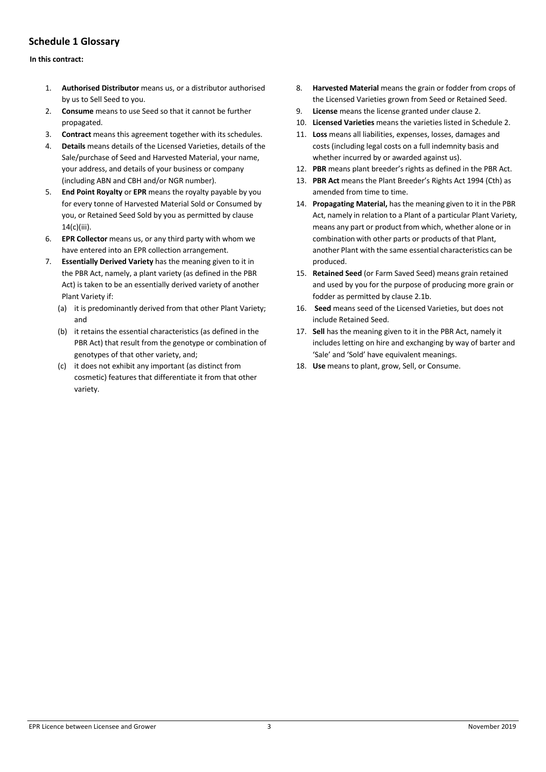# **Schedule 1 Glossary**

#### **In this contract:**

- 1. **Authorised Distributor** means us, or a distributor authorised by us to Sell Seed to you.
- 2. **Consume** means to use Seed so that it cannot be further propagated.
- 3. **Contract** means this agreement together with its schedules.
- 4. **Details** means details of the Licensed Varieties, details of the Sale/purchase of Seed and Harvested Material, your name, your address, and details of your business or company (including ABN and CBH and/or NGR number).
- 5. **End Point Royalty** or **EPR** means the royalty payable by you for every tonne of Harvested Material Sold or Consumed by you, or Retained Seed Sold by you as permitted by clause 14(c)(iii).
- 6. **EPR Collector** means us, or any third party with whom we have entered into an EPR collection arrangement.
- 7. **Essentially Derived Variety** has the meaning given to it in the PBR Act, namely, a plant variety (as defined in the PBR Act) is taken to be an essentially derived variety of another Plant Variety if:
	- (a) it is predominantly derived from that other Plant Variety; and
	- (b) it retains the essential characteristics (as defined in the PBR Act) that result from the genotype or combination of genotypes of that other variety, and;
	- (c) it does not exhibit any important (as distinct from cosmetic) features that differentiate it from that other variety.
- 8. **Harvested Material** means the grain or fodder from crops of the Licensed Varieties grown from Seed or Retained Seed.
- 9. **License** means the license granted under clause 2.
- 10. **Licensed Varieties** means the varieties listed in Schedule 2.
- 11. **Loss** means all liabilities, expenses, losses, damages and costs (including legal costs on a full indemnity basis and whether incurred by or awarded against us).
- 12. **PBR** means plant breeder's rights as defined in the PBR Act.
- 13. **PBR Act** means the Plant Breeder's Rights Act 1994 (Cth) as amended from time to time.
- 14. **Propagating Material,** has the meaning given to it in the PBR Act, namely in relation to a Plant of a particular Plant Variety, means any part or product from which, whether alone or in combination with other parts or products of that Plant, another Plant with the same essential characteristics can be produced.
- 15. **Retained Seed** (or Farm Saved Seed) means grain retained and used by you for the purpose of producing more grain or fodder as permitted by clause 2.1b.
- 16. **Seed** means seed of the Licensed Varieties, but does not include Retained Seed.
- 17. **Sell** has the meaning given to it in the PBR Act, namely it includes letting on hire and exchanging by way of barter and 'Sale' and 'Sold' have equivalent meanings.
- 18. **Use** means to plant, grow, Sell, or Consume.